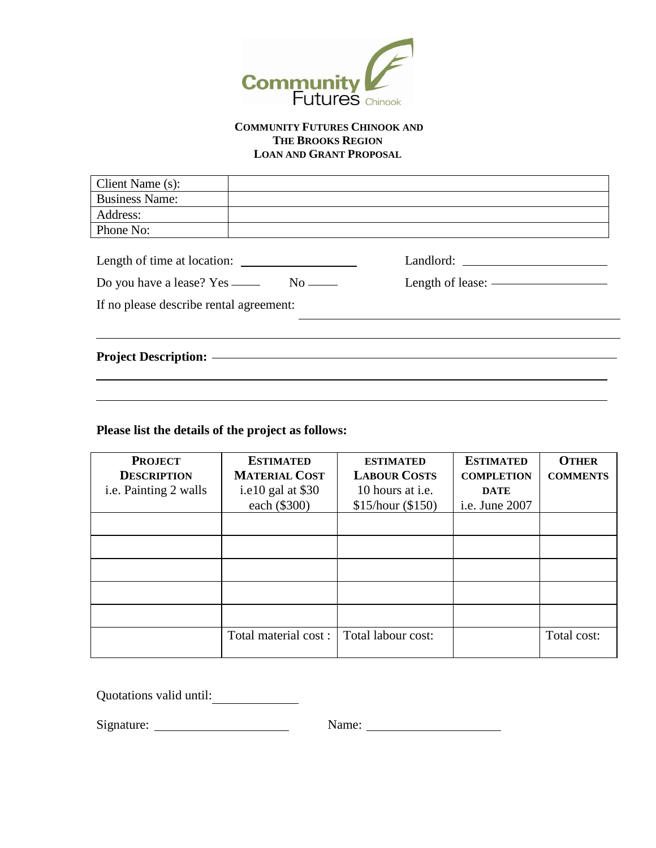

#### **COMMUNITY FUTURES CHINOOK AND THE BROOKS REGION LOAN AND GRANT PROPOSAL**

| Client Name (s):                        |  |                                       |  |  |
|-----------------------------------------|--|---------------------------------------|--|--|
| <b>Business Name:</b>                   |  |                                       |  |  |
| Address:                                |  |                                       |  |  |
| Phone No:                               |  |                                       |  |  |
| Length of time at location:             |  |                                       |  |  |
|                                         |  | Length of lease: ———————————————————— |  |  |
| If no please describe rental agreement: |  |                                       |  |  |
|                                         |  |                                       |  |  |
|                                         |  |                                       |  |  |
|                                         |  |                                       |  |  |

### **Please list the details of the project as follows:**

| <b>PROJECT</b>        | <b>ESTIMATED</b>     | <b>ESTIMATED</b>    | <b>ESTIMATED</b>  | <b>OTHER</b>    |
|-----------------------|----------------------|---------------------|-------------------|-----------------|
| <b>DESCRIPTION</b>    | <b>MATERIAL COST</b> | <b>LABOUR COSTS</b> | <b>COMPLETION</b> | <b>COMMENTS</b> |
| i.e. Painting 2 walls | i.e10 gal at $$30$   | 10 hours at i.e.    | <b>DATE</b>       |                 |
|                       | each (\$300)         | \$15/hour (\$150)   | i.e. June 2007    |                 |
|                       |                      |                     |                   |                 |
|                       |                      |                     |                   |                 |
|                       |                      |                     |                   |                 |
|                       |                      |                     |                   |                 |
|                       |                      |                     |                   |                 |
|                       | Total material cost: | Total labour cost:  |                   | Total cost:     |

Quotations valid until:

Signature: Name: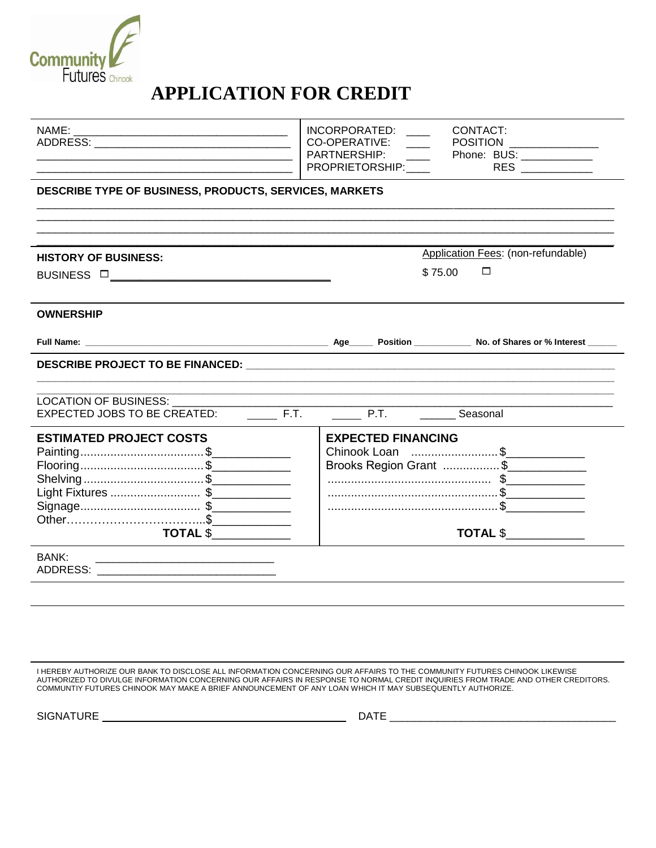

# **APPLICATION FOR CREDIT**

|                                                                 | INCORPORATED: ___<br><b>CONTACT:</b>                                           |
|-----------------------------------------------------------------|--------------------------------------------------------------------------------|
|                                                                 | CO-OPERATIVE:<br>POSITION<br>PARTNERSHIP:<br>______  Phone: BUS: _____________ |
|                                                                 |                                                                                |
| DESCRIBE TYPE OF BUSINESS, PRODUCTS, SERVICES, MARKETS          |                                                                                |
| <b>HISTORY OF BUSINESS:</b>                                     | Application Fees: (non-refundable)                                             |
|                                                                 | $\Box$<br>\$75.00                                                              |
|                                                                 |                                                                                |
| <b>OWNERSHIP</b>                                                |                                                                                |
|                                                                 |                                                                                |
|                                                                 |                                                                                |
|                                                                 |                                                                                |
| <b>LOCATION OF BUSINESS:</b>                                    |                                                                                |
| F.T.<br><b>EXPECTED JOBS TO BE CREATED:</b>                     | P.T. ___________ Seasonal                                                      |
| <b>ESTIMATED PROJECT COSTS</b>                                  | <b>EXPECTED FINANCING</b>                                                      |
|                                                                 | Chinook Loan \$____________                                                    |
|                                                                 | Brooks Region Grant \$                                                         |
| Shelving\$                                                      |                                                                                |
| Light Fixtures \$                                               |                                                                                |
|                                                                 |                                                                                |
| $\overline{\texttt{TOTAL S}} \_\_\_\_\_\_\_\_\_\_\_\_\_\_\_ \}$ | <b>TOTAL \$</b>                                                                |
| BANK:                                                           |                                                                                |
|                                                                 |                                                                                |
|                                                                 |                                                                                |

I HEREBY AUTHORIZE OUR BANK TO DISCLOSE ALL INFORMATION CONCERNING OUR AFFAIRS TO THE COMMUNITY FUTURES CHINOOK LIKEWISE AUTHORIZED TO DIVULGE INFORMATION CONCERNING OUR AFFAIRS IN RESPONSE TO NORMAL CREDIT INQUIRIES FROM TRADE AND OTHER CREDITORS. COMMUNTIY FUTURES CHINOOK MAY MAKE A BRIEF ANNOUNCEMENT OF ANY LOAN WHICH IT MAY SUBSEQUENTLY AUTHORIZE.

SIGNATURE \_\_\_\_\_\_\_\_\_ \_\_\_\_\_\_\_\_\_\_\_\_\_\_ DATE \_\_\_\_\_\_\_\_\_\_\_\_\_\_\_\_\_\_\_\_\_\_\_\_\_\_\_\_\_\_\_\_\_\_\_\_\_\_